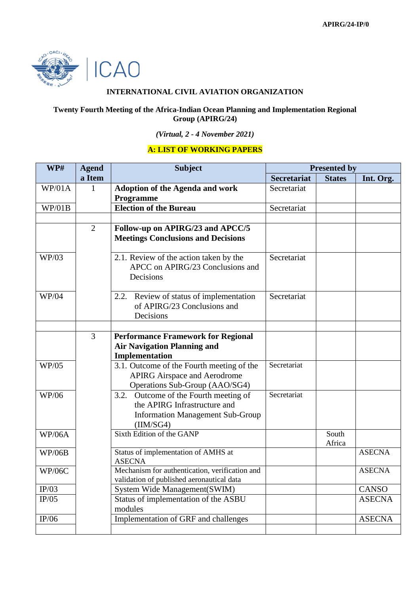

## **INTERNATIONAL CIVIL AVIATION ORGANIZATION**

## **Twenty Fourth Meeting of the Africa-Indian Ocean Planning and Implementation Regional Group (APIRG/24)**

## *(Virtual, 2 - 4 November 2021)*

## **A: LIST OF WORKING PAPERS**

| WP#           | <b>Agend</b>   | <b>Subject</b>                                                                                                                  | <b>Presented by</b> |                 |               |
|---------------|----------------|---------------------------------------------------------------------------------------------------------------------------------|---------------------|-----------------|---------------|
|               | a Item         |                                                                                                                                 | <b>Secretariat</b>  | <b>States</b>   | Int. Org.     |
| WP/01A        | $\mathbf{1}$   | <b>Adoption of the Agenda and work</b><br>Programme                                                                             | Secretariat         |                 |               |
| WP/01B        |                | <b>Election of the Bureau</b>                                                                                                   | Secretariat         |                 |               |
|               |                |                                                                                                                                 |                     |                 |               |
|               | $\overline{2}$ | Follow-up on APIRG/23 and APCC/5<br><b>Meetings Conclusions and Decisions</b>                                                   |                     |                 |               |
| WP/03         |                | 2.1. Review of the action taken by the<br>APCC on APIRG/23 Conclusions and<br>Decisions                                         | Secretariat         |                 |               |
| WP/04         |                | 2.2. Review of status of implementation<br>of APIRG/23 Conclusions and<br>Decisions                                             | Secretariat         |                 |               |
|               |                |                                                                                                                                 |                     |                 |               |
|               | 3              | <b>Performance Framework for Regional</b><br><b>Air Navigation Planning and</b><br>Implementation                               |                     |                 |               |
| <b>WP/05</b>  |                | 3.1. Outcome of the Fourth meeting of the<br><b>APIRG Airspace and Aerodrome</b><br>Operations Sub-Group (AAO/SG4)              | Secretariat         |                 |               |
| WP/06         |                | Outcome of the Fourth meeting of<br>3.2.<br>the APIRG Infrastructure and<br><b>Information Management Sub-Group</b><br>(IM/SG4) | Secretariat         |                 |               |
| <b>WP/06A</b> |                | Sixth Edition of the GANP                                                                                                       |                     | South<br>Africa |               |
| <b>WP/06B</b> |                | Status of implementation of AMHS at<br><b>ASECNA</b>                                                                            |                     |                 | <b>ASECNA</b> |
| <b>WP/06C</b> |                | Mechanism for authentication, verification and<br>validation of published aeronautical data                                     |                     |                 | <b>ASECNA</b> |
| IP/03         |                | System Wide Management(SWIM)                                                                                                    |                     |                 | <b>CANSO</b>  |
| IP/05         |                | Status of implementation of the ASBU<br>modules                                                                                 |                     |                 | <b>ASECNA</b> |
| IP/06         |                | Implementation of GRF and challenges                                                                                            |                     |                 | <b>ASECNA</b> |
|               |                |                                                                                                                                 |                     |                 |               |